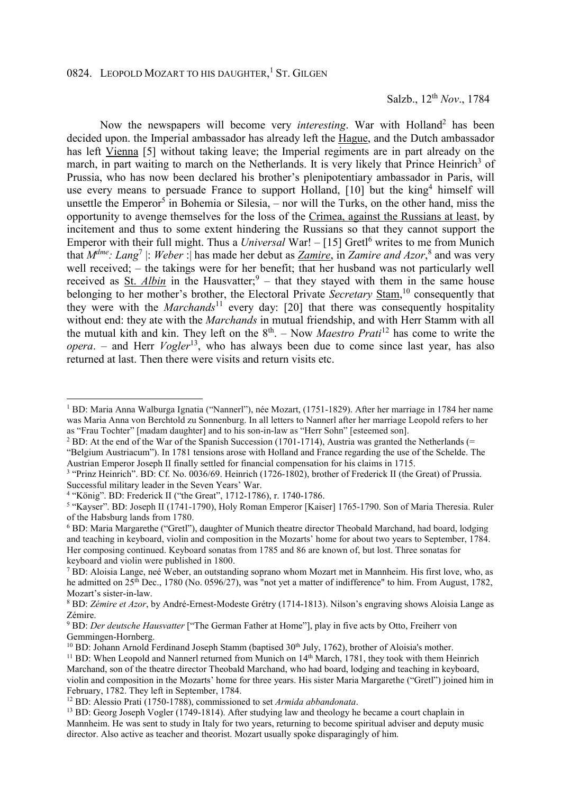Now the newspapers will become very *interesting*. War with Holland<sup>2</sup> has been decided upon. the Imperial ambassador has already left the Hague, and the Dutch ambassador has left Vienna [5] without taking leave; the Imperial regiments are in part already on the march, in part waiting to march on the Netherlands. It is very likely that Prince Heinrich<sup>3</sup> of Prussia, who has now been declared his brother's plenipotentiary ambassador in Paris, will use every means to persuade France to support Holland, [10] but the king<sup>4</sup> himself will unsettle the Emperor<sup>5</sup> in Bohemia or Silesia, – nor will the Turks, on the other hand, miss the opportunity to avenge themselves for the loss of the Crimea, against the Russians at least, by incitement and thus to some extent hindering the Russians so that they cannot support the Emperor with their full might. Thus a *Universal* War! – [15] Gretl<sup>6</sup> writes to me from Munich that  $M^{dme}$ : *Lang*<sup>7</sup> |: *Weber* : | has made her debut as <u>Zamire</u>, in Zamire and Azor,<sup>8</sup> and was very well received; – the takings were for her benefit; that her husband was not particularly well received as **St.** Albin in the Hausvatter;<sup>9</sup> – that they stayed with them in the same house belonging to her mother's brother, the Electoral Private *Secretary* Stam,<sup>10</sup> consequently that they were with the *Marchands*<sup>11'</sup> every day: [20] that there was consequently hospitality without end: they ate with the *Marchands* in mutual friendship, and with Herr Stamm with all the mutual kith and kin. They left on the  $8<sup>th</sup>$ . – Now *Maestro Prati*<sup>12</sup> has come to write the *opera*. – and Herr *Vogler*<sup>13</sup>, who has always been due to come since last year, has also returned at last. Then there were visits and return visits etc.

 $\overline{a}$ 

<sup>1</sup> BD: Maria Anna Walburga Ignatia ("Nannerl"), née Mozart, (1751-1829). After her marriage in 1784 her name was Maria Anna von Berchtold zu Sonnenburg. In all letters to Nannerl after her marriage Leopold refers to her as "Frau Tochter" [madam daughter] and to his son-in-law as "Herr Sohn" [esteemed son].

<sup>&</sup>lt;sup>2</sup> BD: At the end of the War of the Spanish Succession (1701-1714), Austria was granted the Netherlands (= "Belgium Austriacum"). In 1781 tensions arose with Holland and France regarding the use of the Schelde. The Austrian Emperor Joseph II finally settled for financial compensation for his claims in 1715.

<sup>&</sup>lt;sup>3</sup> "Prinz Heinrich". BD: Cf. No. 0036/69. Heinrich (1726-1802), brother of Frederick II (the Great) of Prussia. Successful military leader in the Seven Years' War.

<sup>4</sup> "König". BD: Frederick II ("the Great", 1712-1786), r. 1740-1786.

<sup>&</sup>lt;sup>5</sup> "Kayser". BD: Joseph II (1741-1790), Holy Roman Emperor [Kaiser] 1765-1790. Son of Maria Theresia. Ruler of the Habsburg lands from 1780.

<sup>&</sup>lt;sup>6</sup> BD: Maria Margarethe ("Gretl"), daughter of Munich theatre director Theobald Marchand, had board, lodging and teaching in keyboard, violin and composition in the Mozarts' home for about two years to September, 1784. Her composing continued. Keyboard sonatas from 1785 and 86 are known of, but lost. Three sonatas for keyboard and violin were published in 1800.

<sup>7</sup> BD: Aloisia Lange, neé Weber, an outstanding soprano whom Mozart met in Mannheim. His first love, who, as he admitted on 25<sup>th</sup> Dec., 1780 (No. 0596/27), was "not yet a matter of indifference" to him. From August, 1782, Mozart's sister-in-law.

<sup>8</sup> BD: *Zémire et Azor*, by André-Ernest-Modeste Grétry (1714-1813). Nilson's engraving shows Aloisia Lange as Zémire.

<sup>9</sup> BD: *Der deutsche Hausvatter* ["The German Father at Home"], play in five acts by Otto, Freiherr von Gemmingen-Hornberg.

<sup>&</sup>lt;sup>10</sup> BD: Johann Arnold Ferdinand Joseph Stamm (baptised  $30<sup>th</sup>$  July, 1762), brother of Aloisia's mother.

<sup>11</sup> BD: When Leopold and Nannerl returned from Munich on 14th March, 1781, they took with them Heinrich Marchand, son of the theatre director Theobald Marchand, who had board, lodging and teaching in keyboard, violin and composition in the Mozarts' home for three years. His sister Maria Margarethe ("Gretl") joined him in February, 1782. They left in September, 1784.

<sup>12</sup> BD: Alessio Prati (1750-1788), commissioned to set *Armida abbandonata*.

<sup>&</sup>lt;sup>13</sup> BD: Georg Joseph Vogler (1749-1814). After studying law and theology he became a court chaplain in Mannheim. He was sent to study in Italy for two years, returning to become spiritual adviser and deputy music director. Also active as teacher and theorist. Mozart usually spoke disparagingly of him.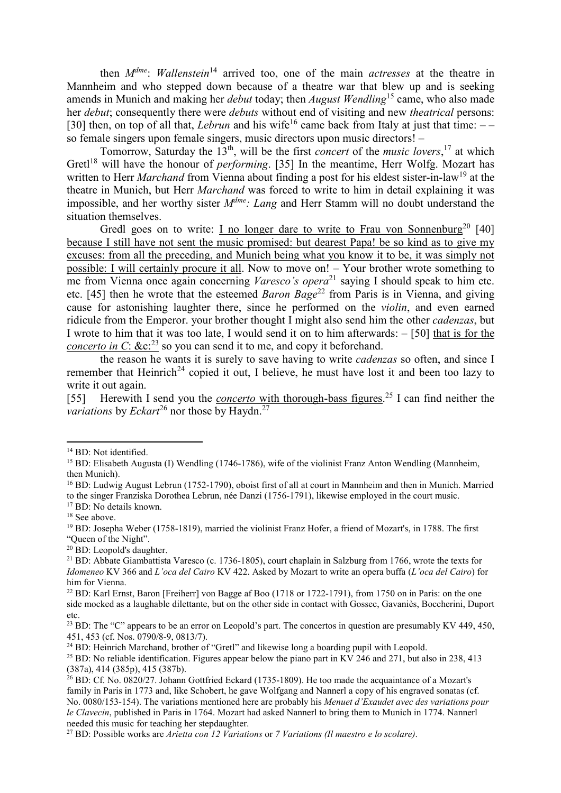then *Mdme*: *Wallenstein*<sup>14</sup> arrived too, one of the main *actresses* at the theatre in Mannheim and who stepped down because of a theatre war that blew up and is seeking amends in Munich and making her *debut* today; then *August Wendling*<sup>15</sup> came, who also made her *debut*; consequently there were *debuts* without end of visiting and new *theatrical* persons: [30] then, on top of all that, *Lebrun* and his wife<sup>16</sup> came back from Italy at just that time:  $$ so female singers upon female singers, music directors upon music directors! –

Tomorrow, Saturday the 13<sup>th</sup>, will be the first *concert* of the *music lovers*,<sup>17</sup> at which Gretl<sup>18</sup> will have the honour of *performing*. [35] In the meantime, Herr Wolfg. Mozart has written to Herr *Marchand* from Vienna about finding a post for his eldest sister-in-law<sup>19</sup> at the theatre in Munich, but Herr *Marchand* was forced to write to him in detail explaining it was impossible, and her worthy sister *Mdme: Lang* and Herr Stamm will no doubt understand the situation themselves.

Gredl goes on to write: I no longer dare to write to Frau von Sonnenburg<sup>20</sup> [40] because I still have not sent the music promised: but dearest Papa! be so kind as to give my excuses: from all the preceding, and Munich being what you know it to be, it was simply not possible: I will certainly procure it all. Now to move on! – Your brother wrote something to me from Vienna once again concerning *Varesco's opera*<sup>21</sup> saying I should speak to him etc. etc. [45] then he wrote that the esteemed *Baron Bage*<sup>22</sup> from Paris is in Vienna, and giving cause for astonishing laughter there, since he performed on the *violin*, and even earned ridicule from the Emperor. your brother thought I might also send him the other *cadenzas*, but I wrote to him that it was too late, I would send it on to him afterwards: – [50] that is for the *concerto in C*: &c:<sup>23</sup> so you can send it to me, and copy it beforehand.

the reason he wants it is surely to save having to write *cadenzas* so often, and since I remember that Heinrich<sup>24</sup> copied it out. I believe, he must have lost it and been too lazy to write it out again.

[55] Herewith I send you the *concerto* with thorough-bass figures.<sup>25</sup> I can find neither the *variations* by *Eckart*<sup>26</sup> nor those by Haydn.<sup>27</sup>

l

<sup>&</sup>lt;sup>14</sup> BD: Not identified.

<sup>&</sup>lt;sup>15</sup> BD: Elisabeth Augusta (I) Wendling (1746-1786), wife of the violinist Franz Anton Wendling (Mannheim, then Munich).

<sup>&</sup>lt;sup>16</sup> BD: Ludwig August Lebrun (1752-1790), oboist first of all at court in Mannheim and then in Munich. Married to the singer Franziska Dorothea Lebrun, née Danzi (1756-1791), likewise employed in the court music.

<sup>&</sup>lt;sup>17</sup> BD: No details known.

<sup>&</sup>lt;sup>18</sup> See above.

<sup>19</sup> BD: Josepha Weber (1758-1819), married the violinist Franz Hofer, a friend of Mozart's, in 1788. The first "Queen of the Night".

<sup>20</sup> BD: Leopold's daughter.

<sup>&</sup>lt;sup>21</sup> BD: Abbate Giambattista Varesco (c. 1736-1805), court chaplain in Salzburg from 1766, wrote the texts for *Idomeneo* KV 366 and *L'oca del Cairo* KV 422. Asked by Mozart to write an opera buffa (*L'oca del Cairo*) for him for Vienna.

<sup>&</sup>lt;sup>22</sup> BD: Karl Ernst, Baron [Freiherr] von Bagge af Boo (1718 or 1722-1791), from 1750 on in Paris: on the one side mocked as a laughable dilettante, but on the other side in contact with Gossec, Gavaniès, Boccherini, Duport etc.

<sup>&</sup>lt;sup>23</sup> BD: The "C" appears to be an error on Leopold's part. The concertos in question are presumably KV 449, 450, 451, 453 (cf. Nos. 0790/8-9, 0813/7).

 $24$  BD: Heinrich Marchand, brother of "Gretl" and likewise long a boarding pupil with Leopold.

<sup>&</sup>lt;sup>25</sup> BD: No reliable identification. Figures appear below the piano part in KV 246 and 271, but also in 238, 413 (387a), 414 (385p), 415 (387b).

 $^{26}$  BD: Cf. No. 0820/27. Johann Gottfried Eckard (1735-1809). He too made the acquaintance of a Mozart's family in Paris in 1773 and, like Schobert, he gave Wolfgang and Nannerl a copy of his engraved sonatas (cf. No. 0080/153-154). The variations mentioned here are probably his *Menuet d'Exaudet avec des variations pour le Clavecin*, published in Paris in 1764. Mozart had asked Nannerl to bring them to Munich in 1774. Nannerl needed this music for teaching her stepdaughter.

<sup>27</sup> BD: Possible works are *Arietta con 12 Variations* or *7 Variations (Il maestro e lo scolare)*.